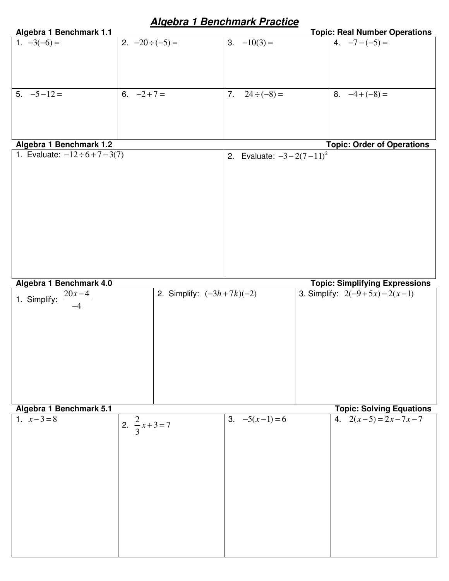| Algebra 1 Benchmark 1.1              | <u>Aigebra i Benchmark Practice</u> |                                 | <b>Topic: Real Number Operations</b>  |
|--------------------------------------|-------------------------------------|---------------------------------|---------------------------------------|
| 1. $-3(-6) =$                        | 2. $-20 \div (-5) =$                | $-10(3) =$                      | 4. $-7-(-5) =$                        |
|                                      |                                     |                                 |                                       |
|                                      |                                     |                                 |                                       |
|                                      |                                     |                                 |                                       |
|                                      |                                     |                                 |                                       |
|                                      |                                     |                                 |                                       |
| $5. -5 - 12 =$                       | 6. $-2+7=$                          | 7.<br>$24 \div (-8) =$          | 8. $-4+(-8) =$                        |
|                                      |                                     |                                 |                                       |
|                                      |                                     |                                 |                                       |
|                                      |                                     |                                 |                                       |
|                                      |                                     |                                 |                                       |
| Algebra 1 Benchmark 1.2              |                                     |                                 | <b>Topic: Order of Operations</b>     |
| 1. Evaluate: $-12 \div 6 + 7 - 3(7)$ |                                     | 2. Evaluate: $-3 - 2(7 - 11)^2$ |                                       |
|                                      |                                     |                                 |                                       |
|                                      |                                     |                                 |                                       |
|                                      |                                     |                                 |                                       |
|                                      |                                     |                                 |                                       |
|                                      |                                     |                                 |                                       |
|                                      |                                     |                                 |                                       |
|                                      |                                     |                                 |                                       |
|                                      |                                     |                                 |                                       |
|                                      |                                     |                                 |                                       |
|                                      |                                     |                                 |                                       |
|                                      |                                     |                                 |                                       |
|                                      |                                     |                                 |                                       |
|                                      |                                     |                                 |                                       |
| Algebra 1 Benchmark 4.0              |                                     |                                 | <b>Topic: Simplifying Expressions</b> |
|                                      |                                     |                                 |                                       |
|                                      |                                     |                                 |                                       |
| $\frac{20x-4}{x}$                    | 2. Simplify: $(-3h + 7k)(-2)$       |                                 | 3. Simplify: $2(-9+5x)-2(x-1)$        |
| 1. Simplify:                         |                                     |                                 |                                       |
|                                      |                                     |                                 |                                       |
|                                      |                                     |                                 |                                       |
|                                      |                                     |                                 |                                       |
|                                      |                                     |                                 |                                       |
|                                      |                                     |                                 |                                       |
|                                      |                                     |                                 |                                       |
|                                      |                                     |                                 |                                       |
|                                      |                                     |                                 |                                       |
|                                      |                                     |                                 |                                       |
|                                      |                                     |                                 |                                       |
| Algebra 1 Benchmark 5.1              |                                     |                                 | <b>Topic: Solving Equations</b>       |
| 1. $x-3=8$                           |                                     |                                 | 4. $2(x-5) = 2x-7x-7$                 |
|                                      |                                     | 3. $-5(x-1)=6$                  |                                       |
|                                      | 2. $\frac{2}{3}x+3=7$               |                                 |                                       |
|                                      |                                     |                                 |                                       |
|                                      |                                     |                                 |                                       |
|                                      |                                     |                                 |                                       |
|                                      |                                     |                                 |                                       |
|                                      |                                     |                                 |                                       |
|                                      |                                     |                                 |                                       |
|                                      |                                     |                                 |                                       |
|                                      |                                     |                                 |                                       |
|                                      |                                     |                                 |                                       |
|                                      |                                     |                                 |                                       |
|                                      |                                     |                                 |                                       |

# **Algebra 1 Benchmark Practice**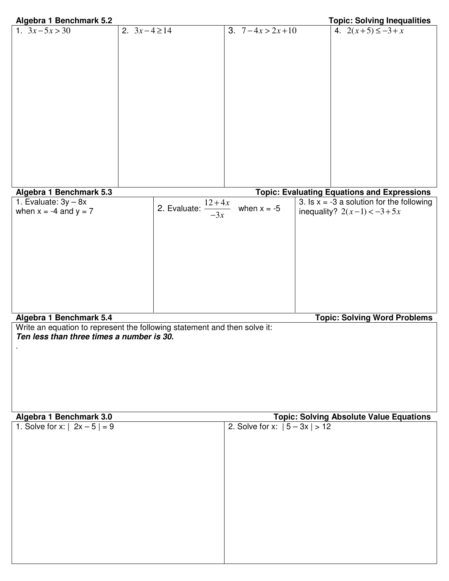| Algebra 1 Benchmark 5.2                                                                                                     |                                                                                                                                 |                                 | <b>Topic: Solving Inequalities</b>                                                                                   |
|-----------------------------------------------------------------------------------------------------------------------------|---------------------------------------------------------------------------------------------------------------------------------|---------------------------------|----------------------------------------------------------------------------------------------------------------------|
| 1. $3x-5x > 30$                                                                                                             | 2. $3x-4 \ge 14$                                                                                                                | 3. $7-4x > 2x+10$               | 4. $2(x+5) \le -3+x$                                                                                                 |
| Algebra 1 Benchmark 5.3                                                                                                     |                                                                                                                                 |                                 | <b>Topic: Evaluating Equations and Expressions</b>                                                                   |
| 1. Evaluate: $3y - 8x$<br>when $x = -4$ and $y = 7$<br>Algebra 1 Benchmark 5.4<br>Ten less than three times a number is 30. | 2. Evaluate: $\frac{12+\overline{4x}}{x}$<br>$-3x$<br>Write an equation to represent the following statement and then solve it: | when $x = -5$                   | 3. Is $x = -3$ a solution for the following<br>inequality? $2(x-1) < -3 + 5x$<br><b>Topic: Solving Word Problems</b> |
| Algebra 1 Benchmark 3.0                                                                                                     |                                                                                                                                 |                                 | <b>Topic: Solving Absolute Value Equations</b>                                                                       |
| 1. Solve for x: $  2x - 5   = 9$                                                                                            |                                                                                                                                 | 2. Solve for x: $ 5 - 3x  > 12$ |                                                                                                                      |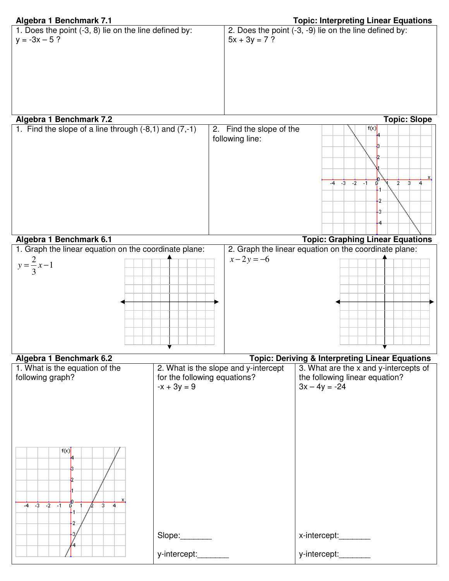# 9) lie on the line defined by:

| Algebra 1 Benchmark 7.1                               | <b>Topic: Interpreting Linear Equations</b>            |
|-------------------------------------------------------|--------------------------------------------------------|
| 1. Does the point (-3, 8) lie on the line defined by: | 2. Does the point (-3, -9) lie on the line defined by: |
| $y = -3x - 5$ ?                                       | $5x + 3y = 7$ ?                                        |
|                                                       |                                                        |
|                                                       |                                                        |
|                                                       |                                                        |
|                                                       |                                                        |
|                                                       |                                                        |
|                                                       |                                                        |

# **Algebra 1 Benchmark 7.2 Topic: Slope**

| 1. Find the slope of a line through $(-8,1)$ and $(7,-1)$ | 2. Find the slope of the<br>following line: | f(x)<br>ю                            |
|-----------------------------------------------------------|---------------------------------------------|--------------------------------------|
|                                                           |                                             |                                      |
|                                                           |                                             | $-2$<br>-3<br>$-4$<br>÷.<br>3.<br>٠I |
|                                                           |                                             | 42                                   |
|                                                           |                                             | O.                                   |
|                                                           |                                             |                                      |
|                                                           |                                             |                                      |

**Algebra 1 Benchmark 6.1 Topic: Graphing Linear Equations**  1. Graph the linear equation on the coordinate plane:  $\frac{2}{3}x-1$ 3  $y = \frac{2}{3}x -$ 2. Graph the linear equation on the coordinate plane:  $x - 2y = -6$ 

# Algebra 1 Benchmark 6.2<br>1. What is the equation of the **Topic: Deriving & Interpreting Linear Equations** 2. What is the slope and y-intercept 3. What are the x and y-intercepts of following graph? for the following equations? the following linear equation?  $3x - 4y = -24$  $-x + 3y = 9$  $f(x)$  $-4$   $-3$   $-2$   $-1$  $\overline{4}$  $\cdot$ x-intercept:\_\_\_\_\_\_\_ Slope: y-intercept:\_\_\_\_\_\_\_\_ y-intercept: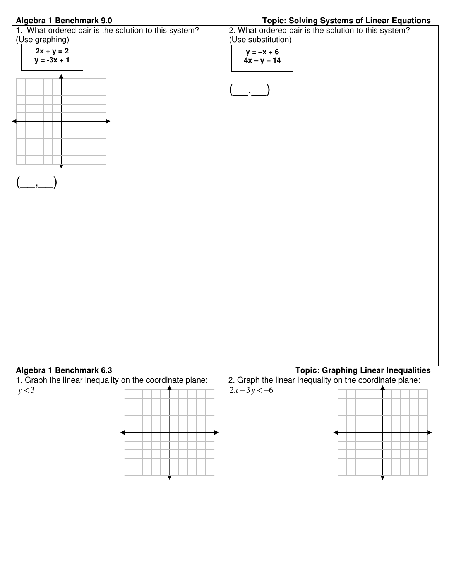### **Algebra 1 Benchmark 9.0 Topic: Solving Systems of Linear Equations**

| 1. What ordered pair is the solution to this system?    | 2. What ordered pair is the solution to this system?    |
|---------------------------------------------------------|---------------------------------------------------------|
| (Use graphing)                                          | (Use substitution)                                      |
| $2x + y = 2$                                            | $y = -x + 6$                                            |
| $y = -3x + 1$                                           | $4x - y = 14$                                           |
|                                                         |                                                         |
| Algebra 1 Benchmark 6.3                                 | <b>Topic: Graphing Linear Inequalities</b>              |
| 1. Graph the linear inequality on the coordinate plane: | 2. Graph the linear inequality on the coordinate plane: |
| y < 3                                                   | $2x-3y < -6$                                            |